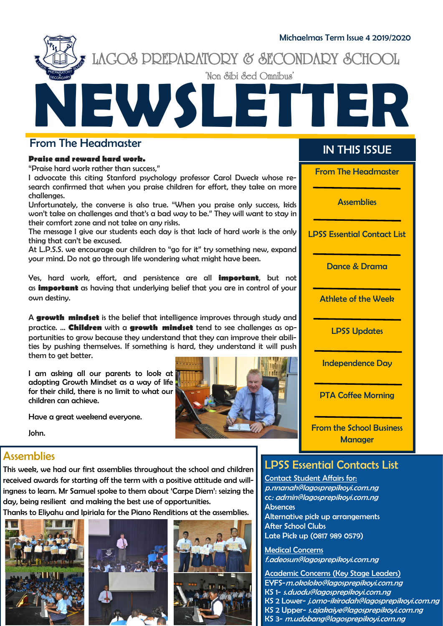

#### From The Headmaster

#### **Praise and reward hard work.**

"Praise hard work rather than success,"

I advocate this citing Stanford psychology professor Carol Dweck whose research confirmed that when you praise children for effort, they take on more challenges.

Unfortunately, the converse is also true. "When you praise only success, kids won't take on challenges and that's a bad way to be." They will want to stay in their comfort zone and not take on any risks.

The message I give our students each day is that lack of hard work is the only thing that can't be excused.

At L.P.S.S. we encourage our children to "go for it" try something new, expand your mind. Do not go through life wondering what might have been.

Yes, hard work, effort, and persistence are all **important**, but not as **important** as having that underlying belief that you are in control of your own destiny.

A **growth mindset** is the belief that intelligence improves through study and practice. ... **Children** with a **growth mindset** tend to see challenges as opportunities to grow because they understand that they can improve their abilities by pushing themselves. If something is hard, they understand it will push them to get better.

I am asking all our parents to look at adopting Growth Mindset as a way of life for their child, there is no limit to what our children can achieve.



## IN THIS ISSUE

From The Headmaster

**Assemblies** 

LPSS Essential Contact List

Dance & Drama

Athlete of the Week

LPSS Updates

Independence Day

PTA Coffee Morning

From the School Business **Manager** 

#### Have a great weekend everyone.

John.

## **Assemblies**

This week, we had our first assemblies throughout the school and children received awards for starting off the term with a positive attitude and willingness to learn. Mr Samuel spoke to them about 'Carpe Diem': seizing the day, being resilient and making the best use of opportunities.

Thanks to Eliyahu and Ipiriala for the Piano Renditions at the assemblies.







#### LPSS Essential Contacts List

Contact Student Affairs for: p.nnanah@lagosprepikoyi.com.ng cc: admin@lagosprepikoyi.com.ng **Absences** Alternative pick up arrangements After School Clubs Late Pick up (0817 989 0579)

Medical Concerns f.adeosun@lagosprepikoyi.com.ng

Academic Concerns (Key Stage Leaders) EYFS-[m.okoloko@lagosprepikoyi.com.ng](mailto:EYFS-m.okoloko@lagosprepikoyi.com.ng) KS 1- [s.duodu@lagosprepikoyi.com.ng](mailto:s.duodu@lagosprepikoyi.com.ng) KS 2 Lower- j.omo-ikirodah[@lagosprepikoyi.com.ng](http://lagosprepikoyi.com.ng/) KS 2 Upper- s.ajakaiye[@lagosprepikoyi.com.ng](http://lagosprepikoyi.com.ng/) KS 3- m.udobang[@lagosprepikoyi.com.ng](http://lagosprepikoyi.com.ng/)